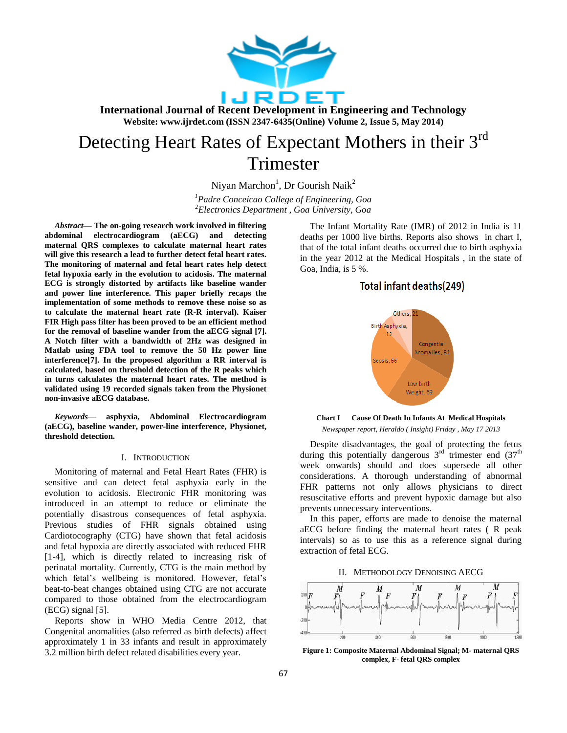

**International Journal of Recent Development in Engineering and Technology Website: www.ijrdet.com (ISSN 2347-6435(Online) Volume 2, Issue 5, May 2014)**

# Detecting Heart Rates of Expectant Mothers in their 3<sup>rd</sup> Trimester

Niyan Marchon<sup>1</sup>, Dr Gourish Naik<sup>2</sup>

*<sup>1</sup>Padre Conceicao College of Engineering, Goa <sup>2</sup>Electronics Department , Goa University, Goa*

*Abstract—* **The on-going research work involved in filtering abdominal electrocardiogram (aECG) and detecting maternal QRS complexes to calculate maternal heart rates will give this research a lead to further detect fetal heart rates. The monitoring of maternal and fetal heart rates help detect fetal hypoxia early in the evolution to acidosis. The maternal ECG is strongly distorted by artifacts like baseline wander and power line interference. This paper briefly recaps the implementation of some methods to remove these noise so as to calculate the maternal heart rate (R-R interval). Kaiser FIR High pass filter has been proved to be an efficient method for the removal of baseline wander from the aECG signal [7]. A Notch filter with a bandwidth of 2Hz was designed in Matlab using FDA tool to remove the 50 Hz power line interference[7]. In the proposed algorithm a RR interval is calculated, based on threshold detection of the R peaks which in turns calculates the maternal heart rates. The method is validated using 19 recorded signals taken from the Physionet non-invasive aECG database.** 

*Keywords*— **asphyxia, Abdominal Electrocardiogram (aECG), baseline wander, power-line interference, Physionet, threshold detection.**

## I. INTRODUCTION

Monitoring of maternal and Fetal Heart Rates (FHR) is sensitive and can detect fetal asphyxia early in the evolution to acidosis. Electronic FHR monitoring was introduced in an attempt to reduce or eliminate the potentially disastrous consequences of fetal asphyxia. Previous studies of FHR signals obtained using Cardiotocography (CTG) have shown that fetal acidosis and fetal hypoxia are directly associated with reduced FHR [1-4], which is directly related to increasing risk of perinatal mortality. Currently, CTG is the main method by which fetal's wellbeing is monitored. However, fetal's beat-to-beat changes obtained using CTG are not accurate compared to those obtained from the electrocardiogram (ECG) signal [5].

Reports show in WHO Media Centre 2012, that Congenital anomalities (also referred as birth defects) affect approximately 1 in 33 infants and result in approximately 3.2 million birth defect related disabilities every year.

The Infant Mortality Rate (IMR) of 2012 in India is 11 deaths per 1000 live births. Reports also shows in chart I, that of the total infant deaths occurred due to birth asphyxia in the year 2012 at the Medical Hospitals , in the state of Goa, India, is 5 %.

# Total infant deaths(249)



**Chart I Cause Of Death In Infants At Medical Hospitals** *Newspaper report, Heraldo ( Insight) Friday , May 17 2013*

Despite disadvantages, the goal of protecting the fetus during this potentially dangerous  $3<sup>rd</sup>$  trimester end  $(37<sup>th</sup>)$ week onwards) should and does supersede all other considerations. A thorough understanding of abnormal FHR patterns not only allows physicians to direct resuscitative efforts and prevent hypoxic damage but also prevents unnecessary interventions.

In this paper, efforts are made to denoise the maternal aECG before finding the maternal heart rates ( R peak intervals) so as to use this as a reference signal during extraction of fetal ECG.

II. METHODOLOGY DENOISING AECG



**Figure 1: Composite Maternal Abdominal Signal; M- maternal QRS complex, F- fetal QRS complex**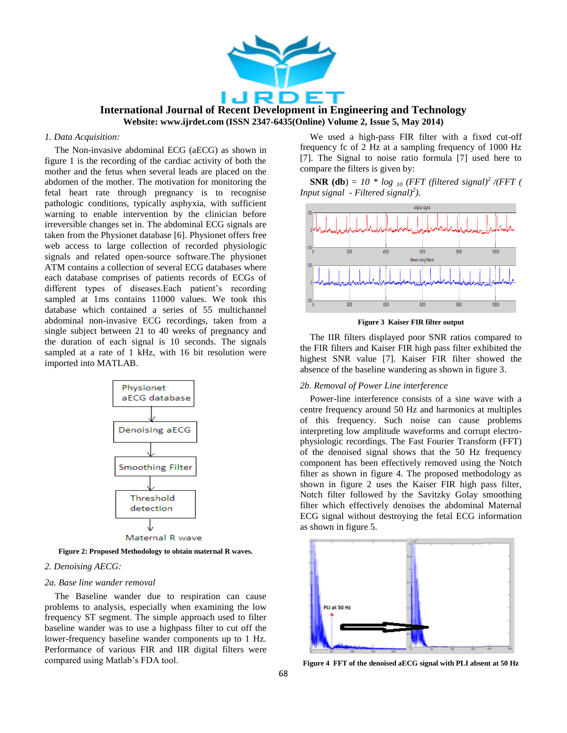

# **International Journal of Recent Development in Engineering and Technology Website: www.ijrdet.com (ISSN 2347-6435(Online) Volume 2, Issue 5, May 2014)**

# *1. Data Acquisition:*

The Non-invasive abdominal ECG (aECG) as shown in figure 1 is the recording of the cardiac activity of both the mother and the fetus when several leads are placed on the abdomen of the mother. The motivation for monitoring the fetal heart rate through pregnancy is to recognise pathologic conditions, typically asphyxia, with sufficient warning to enable intervention by the clinician before irreversible changes set in. The abdominal ECG signals are taken from the Physionet database [6]. Physionet offers free web access to large collection of recorded physiologic signals and related open-source software.The physionet ATM contains a collection of several ECG databases where each database comprises of patients records of ECGs of different types of diseases.Each patient's recording sampled at 1ms contains 11000 values. We took this database which contained a series of 55 multichannel abdominal non-invasive ECG recordings, taken from a single subject between 21 to 40 weeks of pregnancy and the duration of each signal is 10 seconds. The signals sampled at a rate of 1 kHz, with 16 bit resolution were imported into MATLAB.



**Figure 2: Proposed Methodology to obtain maternal R waves.**

# *2. Denoising AECG:*

#### *2a. Base line wander removal*

The Baseline wander due to respiration can cause problems to analysis, especially when examining the low frequency ST segment. The simple approach used to filter baseline wander was to use a highpass filter to cut off the lower-frequency baseline wander components up to 1 Hz. Performance of various FIR and IIR digital filters were compared using Matlab's FDA tool.

We used a high-pass FIR filter with a fixed cut-off frequency fc of 2 Hz at a sampling frequency of 1000 Hz [7]. The Signal to noise ratio formula [7] used here to compare the filters is given by:

**SNR (db)** =  $10 * log_{10}$  (FFT (filtered signal)<sup>2</sup> /(FFT ( *Input signal - Filtered signal)<sup>2</sup> ).*



**Figure 3 Kaiser FIR filter output**

The IIR filters displayed poor SNR ratios compared to the FIR filters and Kaiser FIR high pass filter exhibited the highest SNR value [7]. Kaiser FIR filter showed the absence of the baseline wandering as shown in figure 3.

#### *2b. Removal of Power Line interference*

Power-line interference consists of a sine wave with a centre frequency around 50 Hz and harmonics at multiples of this frequency. Such noise can cause problems interpreting low amplitude waveforms and corrupt electrophysiologic recordings. The Fast Fourier Transform (FFT) of the denoised signal shows that the 50 Hz frequency component has been effectively removed using the Notch filter as shown in figure 4. The proposed methodology as shown in figure 2 uses the Kaiser FIR high pass filter, Notch filter followed by the Savitzky Golay smoothing filter which effectively denoises the abdominal Maternal ECG signal without destroying the fetal ECG information as shown in figure 5.



**Figure 4 FFT of the denoised aECG signal with PLI absent at 50 Hz**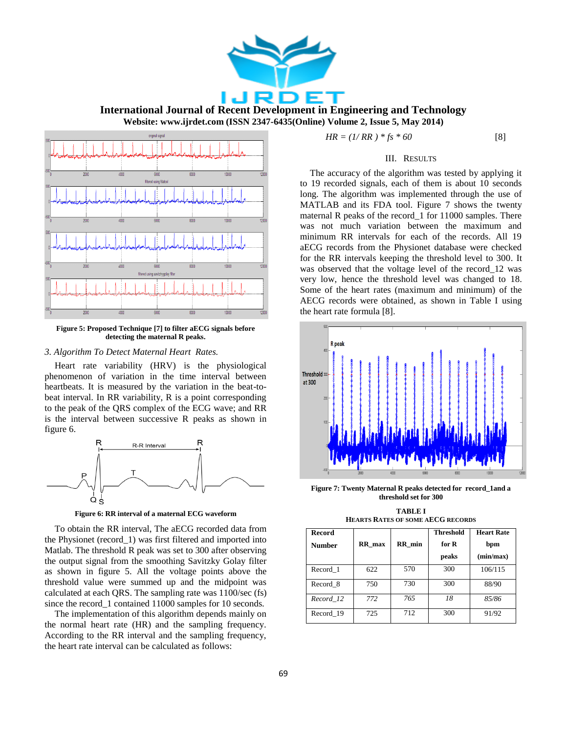

**International Journal of Recent Development in Engineering and Technology Website: www.ijrdet.com (ISSN 2347-6435(Online) Volume 2, Issue 5, May 2014)**



**Figure 5: Proposed Technique [7] to filter aECG signals before detecting the maternal R peaks.**

#### *3. Algorithm To Detect Maternal Heart Rates.*

Heart rate variability (HRV) is the physiological phenomenon of variation in the time interval between heartbeats. It is measured by the variation in the beat-tobeat interval. In RR variability, R is a point corresponding to the peak of the QRS complex of the ECG wave; and RR is the interval between successive R peaks as shown in figure 6.



**Figure 6: RR interval of a maternal ECG waveform**

To obtain the RR interval, The aECG recorded data from the Physionet (record\_1) was first filtered and imported into Matlab. The threshold R peak was set to 300 after observing the output signal from the smoothing Savitzky Golay filter as shown in figure 5. All the voltage points above the threshold value were summed up and the midpoint was calculated at each QRS. The sampling rate was 1100/sec (fs) since the record 1 contained 11000 samples for 10 seconds.

The implementation of this algorithm depends mainly on the normal heart rate (HR) and the sampling frequency. According to the RR interval and the sampling frequency, the heart rate interval can be calculated as follows:

$$
HR = (1/RR)^*fs * 60 \tag{8}
$$

### III. RESULTS

The accuracy of the algorithm was tested by applying it to 19 recorded signals, each of them is about 10 seconds long. The algorithm was implemented through the use of MATLAB and its FDA tool. Figure 7 shows the twenty maternal R peaks of the record\_1 for 11000 samples. There was not much variation between the maximum and minimum RR intervals for each of the records. All 19 aECG records from the Physionet database were checked for the RR intervals keeping the threshold level to 300. It was observed that the voltage level of the record\_12 was very low, hence the threshold level was changed to 18. Some of the heart rates (maximum and minimum) of the AECG records were obtained, as shown in Table I using the heart rate formula [8].



**Figure 7: Twenty Maternal R peaks detected for record\_1and a threshold set for 300**

**TABLE I HEARTS RATES OF SOME AECG RECORDS**

| <b>Record</b> |        |        | Threshold | <b>Heart Rate</b> |
|---------------|--------|--------|-----------|-------------------|
| <b>Number</b> | RR max | RR min | for R     | bpm               |
|               |        |        | peaks     | (min/max)         |
| Record 1      | 622    | 570    | 300       | 106/115           |
| Record 8      | 750    | 730    | 300       | 88/90             |
| Record 12     | 772    | 765    | 18        | 85/86             |
| Record 19     | 725    | 712    | 300       | 91/92             |